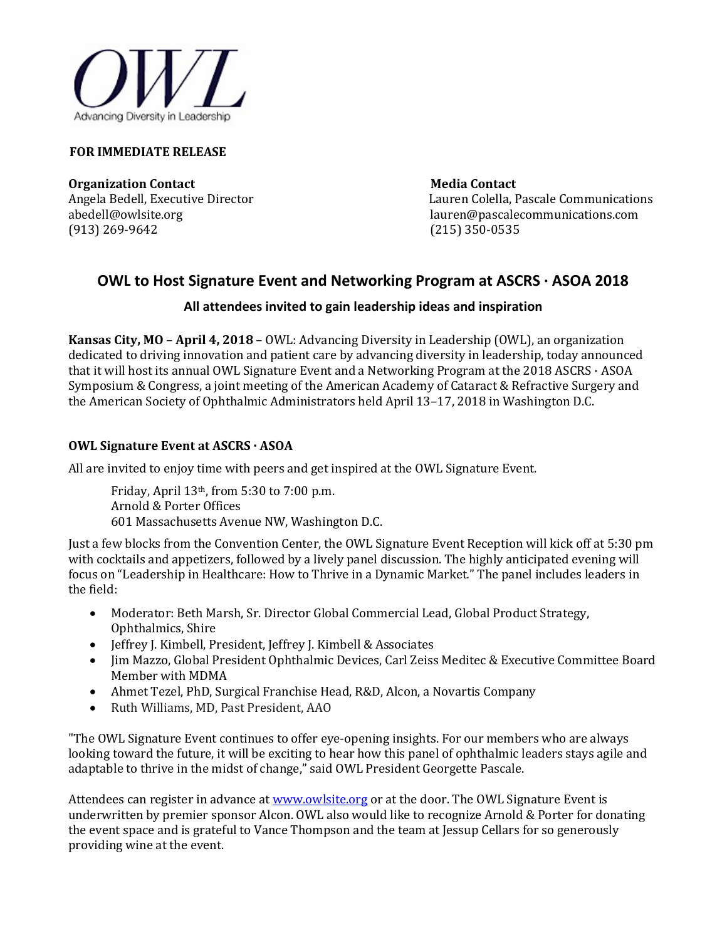

#### **FOR IMMEDIATE RELEASE**

**Organization Contact Contact Contact Contact Contact Contact Contact Contact Contact Contact Contact Contact Contact Contact Contact Contact Contact Contact Contact Contact Contact Contact Contact Contact Contact Contact** (913) 269-9642

Angela Bedell, Executive Director Lauren Colella, Pascale Communications<br>abedell@owlsite.org lauren@pascalecommunications.com lauren@pascalecommunications.com<br>(215) 350-0535

# **OWL to Host Signature Event and Networking Program at ASCRS · ASOA 2018**

# **All attendees invited to gain leadership ideas and inspiration**

**Kansas City, MO** – **April 4, 2018** – OWL: Advancing Diversity in Leadership (OWL), an organization dedicated to driving innovation and patient care by advancing diversity in leadership, today announced that it will host its annual OWL Signature Event and a Networking Program at the 2018 ASCRS · ASOA Symposium & Congress, a joint meeting of the American Academy of Cataract & Refractive Surgery and the American Society of Ophthalmic Administrators held April 13–17, 2018 in Washington D.C.

### **OWL Signature Event at ASCRS · ASOA**

All are invited to enjoy time with peers and get inspired at the OWL Signature Event.

Friday, April 13th, from 5:30 to 7:00 p.m. Arnold & Porter Offices 601 Massachusetts Avenue NW, Washington D.C.

Just a few blocks from the Convention Center, the OWL Signature Event Reception will kick off at 5:30 pm with cocktails and appetizers, followed by a lively panel discussion. The highly anticipated evening will focus on "Leadership in Healthcare: How to Thrive in a Dynamic Market*.*" The panel includes leaders in the field:

- Moderator: Beth Marsh, Sr. Director Global Commercial Lead, Global Product Strategy, Ophthalmics, Shire
- Jeffrey J. Kimbell, President, Jeffrey J. Kimbell & Associates
- Jim Mazzo, Global President Ophthalmic Devices, Carl Zeiss Meditec & Executive Committee Board Member with MDMA
- Ahmet Tezel, PhD, Surgical Franchise Head, R&D, Alcon, a Novartis Company
- Ruth Williams, MD, Past President, AAO

"The OWL Signature Event continues to offer eye-opening insights. For our members who are always looking toward the future, it will be exciting to hear how this panel of ophthalmic leaders stays agile and adaptable to thrive in the midst of change," said OWL President Georgette Pascale.

Attendees can register in advance a[t www.owlsite.org](http://www.owlsite.org/) or at the door. The OWL Signature Event is underwritten by premier sponsor Alcon. OWL also would like to recognize Arnold & Porter for donating the event space and is grateful to Vance Thompson and the team at Jessup Cellars for so generously providing wine at the event.